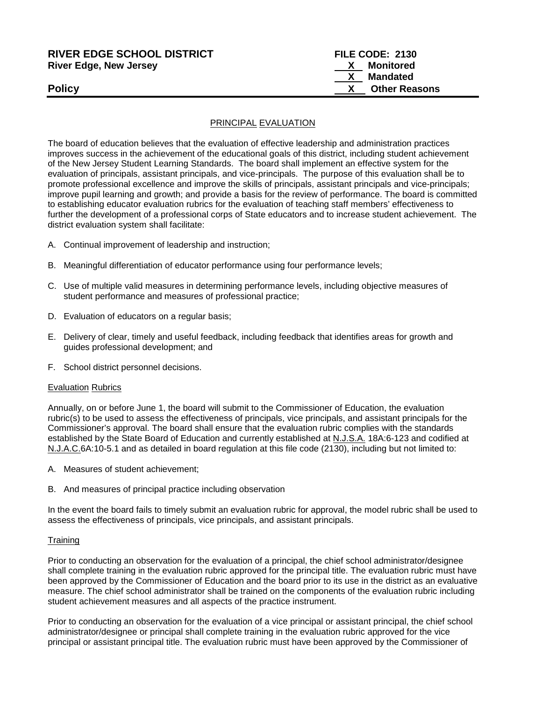| <b>RIVER EDGE SCHOOL DISTRICT</b> | FILE CODE: 2130      |
|-----------------------------------|----------------------|
| <b>River Edge, New Jersey</b>     | <u>X</u> Monitored   |
|                                   | X Mandated           |
| <b>Policy</b>                     | <b>Other Reasons</b> |

#### PRINCIPAL EVALUATION

The board of education believes that the evaluation of effective leadership and administration practices improves success in the achievement of the educational goals of this district, including student achievement of the New Jersey Student Learning Standards.The board shall implement an effective system for the evaluation of principals, assistant principals, and vice-principals. The purpose of this evaluation shall be to promote professional excellence and improve the skills of principals, assistant principals and vice-principals; improve pupil learning and growth; and provide a basis for the review of performance. The board is committed to establishing educator evaluation rubrics for the evaluation of teaching staff members' effectiveness to further the development of a professional corps of State educators and to increase student achievement. The district evaluation system shall facilitate:

- A. Continual improvement of leadership and instruction;
- B. Meaningful differentiation of educator performance using four performance levels;
- C. Use of multiple valid measures in determining performance levels, including objective measures of student performance and measures of professional practice;
- D. Evaluation of educators on a regular basis;
- E. Delivery of clear, timely and useful feedback, including feedback that identifies areas for growth and guides professional development; and
- F. School district personnel decisions.

#### Evaluation Rubrics

Annually, on or before June 1, the board will submit to the Commissioner of Education, the evaluation rubric(s) to be used to assess the effectiveness of principals, vice principals, and assistant principals for the Commissioner's approval. The board shall ensure that the evaluation rubric complies with the standards established by the State Board of Education and currently established at N.J.S.A. 18A:6-123 and codified at N.J.A.C.6A:10-5.1 and as detailed in board regulation at this file code (2130), including but not limited to:

- A. Measures of student achievement;
- B. And measures of principal practice including observation

In the event the board fails to timely submit an evaluation rubric for approval, the model rubric shall be used to assess the effectiveness of principals, vice principals, and assistant principals.

#### **Training**

Prior to conducting an observation for the evaluation of a principal, the chief school administrator/designee shall complete training in the evaluation rubric approved for the principal title. The evaluation rubric must have been approved by the Commissioner of Education and the board prior to its use in the district as an evaluative measure. The chief school administrator shall be trained on the components of the evaluation rubric including student achievement measures and all aspects of the practice instrument.

Prior to conducting an observation for the evaluation of a vice principal or assistant principal, the chief school administrator/designee or principal shall complete training in the evaluation rubric approved for the vice principal or assistant principal title. The evaluation rubric must have been approved by the Commissioner of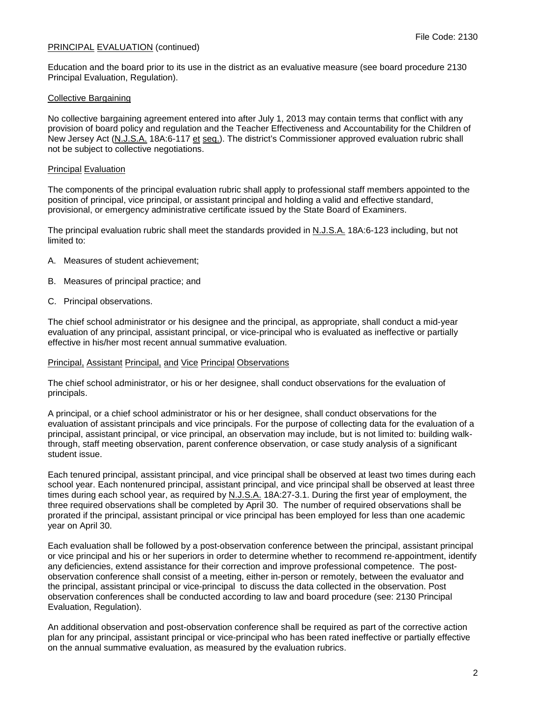Education and the board prior to its use in the district as an evaluative measure (see board procedure 2130 Principal Evaluation, Regulation).

## Collective Bargaining

No collective bargaining agreement entered into after July 1, 2013 may contain terms that conflict with any provision of board policy and regulation and the Teacher Effectiveness and Accountability for the Children of New Jersey Act (N.J.S.A. 18A:6-117 et seq.). The district's Commissioner approved evaluation rubric shall not be subject to collective negotiations.

#### Principal Evaluation

The components of the principal evaluation rubric shall apply to professional staff members appointed to the position of principal, vice principal, or assistant principal and holding a valid and effective standard, provisional, or emergency administrative certificate issued by the State Board of Examiners.

The principal evaluation rubric shall meet the standards provided in N.J.S.A. 18A:6-123 including, but not limited to:

- A. Measures of student achievement;
- B. Measures of principal practice; and
- C. Principal observations.

The chief school administrator or his designee and the principal, as appropriate, shall conduct a mid-year evaluation of any principal, assistant principal, or vice-principal who is evaluated as ineffective or partially effective in his/her most recent annual summative evaluation.

#### Principal, Assistant Principal, and Vice Principal Observations

The chief school administrator, or his or her designee, shall conduct observations for the evaluation of principals.

A principal, or a chief school administrator or his or her designee, shall conduct observations for the evaluation of assistant principals and vice principals. For the purpose of collecting data for the evaluation of a principal, assistant principal, or vice principal, an observation may include, but is not limited to: building walkthrough, staff meeting observation, parent conference observation, or case study analysis of a significant student issue.

Each tenured principal, assistant principal, and vice principal shall be observed at least two times during each school year. Each nontenured principal, assistant principal, and vice principal shall be observed at least three times during each school year, as required by N.J.S.A. 18A:27-3.1. During the first year of employment, the three required observations shall be completed by April 30. The number of required observations shall be prorated if the principal, assistant principal or vice principal has been employed for less than one academic year on April 30.

Each evaluation shall be followed by a post-observation conference between the principal, assistant principal or vice principal and his or her superiors in order to determine whether to recommend re-appointment, identify any deficiencies, extend assistance for their correction and improve professional competence. The postobservation conference shall consist of a meeting, either in-person or remotely, between the evaluator and the principal, assistant principal or vice-principal to discuss the data collected in the observation. Post observation conferences shall be conducted according to law and board procedure (see: 2130 Principal Evaluation, Regulation).

An additional observation and post-observation conference shall be required as part of the corrective action plan for any principal, assistant principal or vice-principal who has been rated ineffective or partially effective on the annual summative evaluation, as measured by the evaluation rubrics.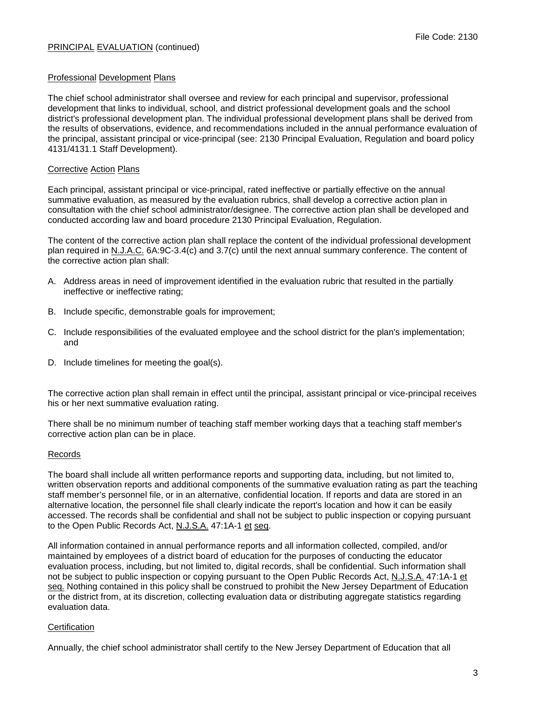## Professional Development Plans

The chief school administrator shall oversee and review for each principal and supervisor, professional development that links to individual, school, and district professional development goals and the school district's professional development plan. The individual professional development plans shall be derived from the results of observations, evidence, and recommendations included in the annual performance evaluation of the principal, assistant principal or vice-principal (see: 2130 Principal Evaluation, Regulation and board policy 4131/4131.1 Staff Development).

#### Corrective Action Plans

Each principal, assistant principal or vice-principal, rated ineffective or partially effective on the annual summative evaluation, as measured by the evaluation rubrics, shall develop a corrective action plan in consultation with the chief school administrator/designee. The corrective action plan shall be developed and conducted according law and board procedure 2130 Principal Evaluation, Regulation.

The content of the corrective action plan shall replace the content of the individual professional development plan required in N.J.A.C. 6A:9C-3.4(c) and 3.7(c) until the next annual summary conference. The content of the corrective action plan shall:

- A. Address areas in need of improvement identified in the evaluation rubric that resulted in the partially ineffective or ineffective rating;
- B. Include specific, demonstrable goals for improvement;
- C. Include responsibilities of the evaluated employee and the school district for the plan's implementation; and
- D. Include timelines for meeting the goal(s).

The corrective action plan shall remain in effect until the principal, assistant principal or vice-principal receives his or her next summative evaluation rating.

There shall be no minimum number of teaching staff member working days that a teaching staff member's corrective action plan can be in place.

#### Records

The board shall include all written performance reports and supporting data, including, but not limited to, written observation reports and additional components of the summative evaluation rating as part the teaching staff member's personnel file, or in an alternative, confidential location. If reports and data are stored in an alternative location, the personnel file shall clearly indicate the report's location and how it can be easily accessed. The records shall be confidential and shall not be subject to public inspection or copying pursuant to the Open Public Records Act, N.J.S.A. 47:1A-1 et seq.

All information contained in annual performance reports and all information collected, compiled, and/or maintained by employees of a district board of education for the purposes of conducting the educator evaluation process, including, but not limited to, digital records, shall be confidential. Such information shall not be subject to public inspection or copying pursuant to the Open Public Records Act, N.J.S.A. 47:1A-1 et seq. Nothing contained in this policy shall be construed to prohibit the New Jersey Department of Education or the district from, at its discretion, collecting evaluation data or distributing aggregate statistics regarding evaluation data.

# **Certification**

Annually, the chief school administrator shall certify to the New Jersey Department of Education that all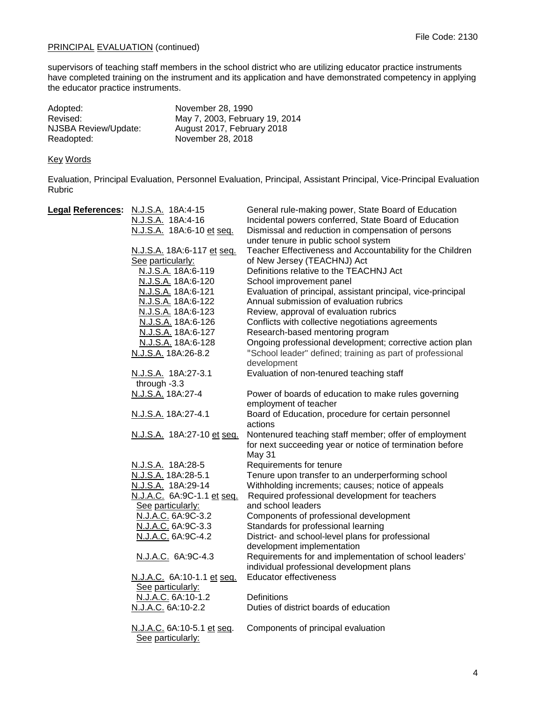supervisors of teaching staff members in the school district who are utilizing educator practice instruments have completed training on the instrument and its application and have demonstrated competency in applying the educator practice instruments.

| Adopted:             | November 28, 1990              |
|----------------------|--------------------------------|
| Revised:             | May 7, 2003, February 19, 2014 |
| NJSBA Review/Update: | August 2017, February 2018     |
| Readopted:           | November 28, 2018              |

# Key Words

Evaluation, Principal Evaluation, Personnel Evaluation, Principal, Assistant Principal, Vice-Principal Evaluation Rubric

| Legal References: N.J.S.A. 18A:4-15 | General rule-making power, State Board of Education          |
|-------------------------------------|--------------------------------------------------------------|
| N.J.S.A. 18A:4-16                   | Incidental powers conferred, State Board of Education        |
| N.J.S.A. 18A:6-10 et seq.           | Dismissal and reduction in compensation of persons           |
|                                     | under tenure in public school system                         |
| N.J.S.A. 18A:6-117 et seq.          | Teacher Effectiveness and Accountability for the Children    |
| See particularly:                   | of New Jersey (TEACHNJ) Act                                  |
| N.J.S.A. 18A:6-119                  | Definitions relative to the TEACHNJ Act                      |
| N.J.S.A. 18A:6-120                  | School improvement panel                                     |
| N.J.S.A. 18A:6-121                  | Evaluation of principal, assistant principal, vice-principal |
| N.J.S.A. 18A:6-122                  | Annual submission of evaluation rubrics                      |
| N.J.S.A. 18A:6-123                  | Review, approval of evaluation rubrics                       |
| N.J.S.A. 18A:6-126                  | Conflicts with collective negotiations agreements            |
| N.J.S.A. 18A:6-127                  | Research-based mentoring program                             |
| N.J.S.A. 18A:6-128                  | Ongoing professional development; corrective action plan     |
| N.J.S.A. 18A:26-8.2                 | "School leader" defined; training as part of professional    |
|                                     | development                                                  |
| N.J.S.A. 18A:27-3.1                 | Evaluation of non-tenured teaching staff                     |
| through -3.3                        |                                                              |
| N.J.S.A. 18A:27-4                   | Power of boards of education to make rules governing         |
|                                     | employment of teacher                                        |
| N.J.S.A. 18A:27-4.1                 | Board of Education, procedure for certain personnel          |
|                                     | actions                                                      |
| N.J.S.A. 18A:27-10 et seq.          | Nontenured teaching staff member; offer of employment        |
|                                     | for next succeeding year or notice of termination before     |
|                                     | May 31                                                       |
| N.J.S.A. 18A:28-5                   | Requirements for tenure                                      |
| N.J.S.A. 18A:28-5.1                 | Tenure upon transfer to an underperforming school            |
| N.J.S.A. 18A:29-14                  | Withholding increments; causes; notice of appeals            |
| N.J.A.C. 6A:9C-1.1 et seq.          | Required professional development for teachers               |
| See particularly:                   | and school leaders                                           |
| N.J.A.C. 6A:9C-3.2                  | Components of professional development                       |
| N.J.A.C. 6A:9C-3.3                  | Standards for professional learning                          |
| N.J.A.C. 6A:9C-4.2                  | District- and school-level plans for professional            |
|                                     | development implementation                                   |
| N.J.A.C. 6A:9C-4.3                  | Requirements for and implementation of school leaders'       |
|                                     | individual professional development plans                    |
| N.J.A.C. 6A:10-1.1 et seq.          | <b>Educator effectiveness</b>                                |
| See particularly:                   |                                                              |
| N.J.A.C. 6A:10-1.2                  | Definitions                                                  |
| N.J.A.C. 6A:10-2.2                  | Duties of district boards of education                       |
| N.J.A.C. 6A:10-5.1 et seq.          | Components of principal evaluation                           |
| See particularly:                   |                                                              |
|                                     |                                                              |